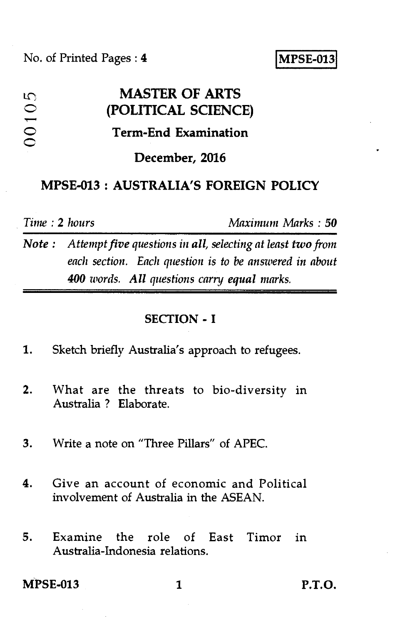# LC **MASTER OF ARTS**  C **(POLITICAL SCIENCE) Term-End Examination**   $00105$ **December, 2016 MPSE-013 : AUSTRALIA'S FOREIGN POLICY**

*Time :* **2** *hours Maximum Marks : 50* 

*Note : Attempt five questions in all, selecting at least two from each section. Each question is to be answered in about 400 words. All questions carry equal marks.* 

#### **SECTION - I**

- 1. Sketch briefly Australia's approach to refugees.
- 2. What are the threats to bio-diversity in Australia ? Elaborate.
- 3. Write a note on "Three Pillars" of APEC.
- 4. Give an account of economic and Political involvement of Australia in the ASEAN.
- 5. Examine the role of East Timor in Australia-Indonesia relations.

**MPSE-013** 1 **P.T.O.**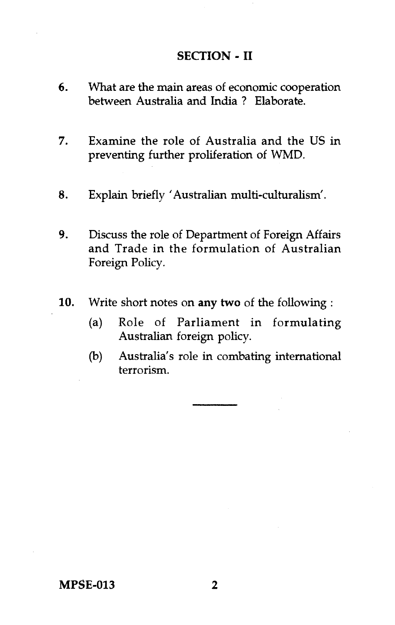### **SECTION - II**

- 6. What are the main areas of economic cooperation between Australia and India ? Elaborate.
- 7. Examine the role of Australia and the US in preventing further proliferation of WMD.
- 8. Explain briefly 'Australian multi-culturalism'.
- 9. Discuss the role of Department of Foreign Affairs and Trade in the formulation of Australian Foreign Policy.
- 10. Write short notes on **any two** of the following :
	- (a) Role of Parliament in formulating Australian foreign policy.
	- (b) Australia's role in combating international terrorism.

**MPSE-013 2**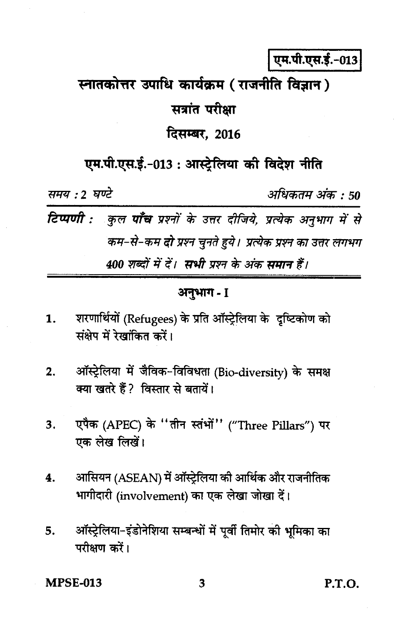एम.पी.एस.ई.-013

## स्नातकोत्तर उपाधि कार्यक्रम (राजनीति विज्ञान)

### सत्रांत परीक्षा

### दिसम्बर, 2016

एम.पी.एस.ई.-013 : आस्ट्रेलिया की विदेश नीति

समय : 2 घण्टे

अधिकतम अंक : 50

टिप्पणी : कुल पाँच प्रश्नों के उत्तर दीजिये, प्रत्येक अनुभाग में से कम-से-कम दो प्रश्न चुनते हुये। प्रत्येक प्रश्न का उत्तर लगभग 400 शब्दों में दें। सभी प्रश्न के अंक समान हैं।

### अनुभाग- I

- शरणार्थियों (Refugees) के प्रति ऑस्ट्रेलिया के दृष्टिकोण को 1. संक्षेप में रेखांकित करें।
- ऑस्ट्रेलिया में जैविक-विविधता (Bio-diversity) के समक्ष  $2.$ क्या खतरे हैं ? विस्तार से बतायें।
- एपैक (APEC) के "तीन स्तंभों" ("Three Pillars") पर 3. एक लेख लिखें।
- आसियन (ASEAN) में ऑस्ट्रेलिया की आर्थिक और राजनीतिक 4. भागीदारी (involvement) का एक लेखा जोखा दें।
- ऑस्ट्रेलिया-इंडोनेशिया सम्बन्धों में पूर्वी तिमोर की भूमिका का 5. परीक्षण करें।

**MPSE-013** 

**P.T.O.**